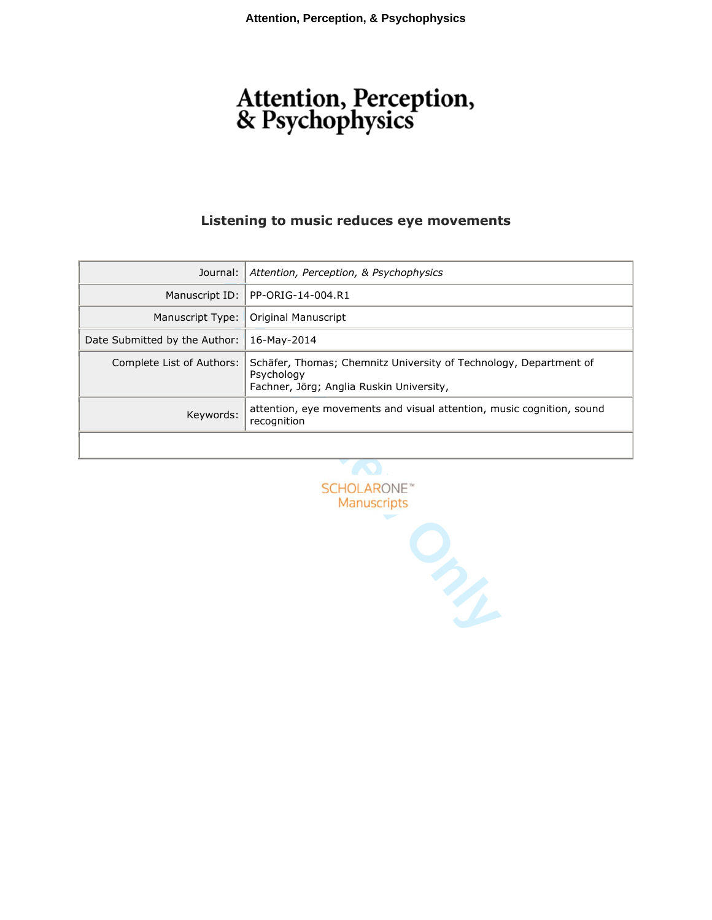# Attention, Perception,<br>& Psychophysics

## **Listening to music reduces eye movements**

| Journal:                      | Attention, Perception, & Psychophysics                                                                                      |
|-------------------------------|-----------------------------------------------------------------------------------------------------------------------------|
|                               | Manuscript ID:   PP-ORIG-14-004.R1                                                                                          |
| Manuscript Type:              | Original Manuscript                                                                                                         |
| Date Submitted by the Author: | 16-Mav-2014                                                                                                                 |
| Complete List of Authors:     | Schäfer, Thomas; Chemnitz University of Technology, Department of<br>Psychology<br>Fachner, Jörg; Anglia Ruskin University, |
| Keywords:                     | attention, eye movements and visual attention, music cognition, sound<br>recognition                                        |
|                               |                                                                                                                             |

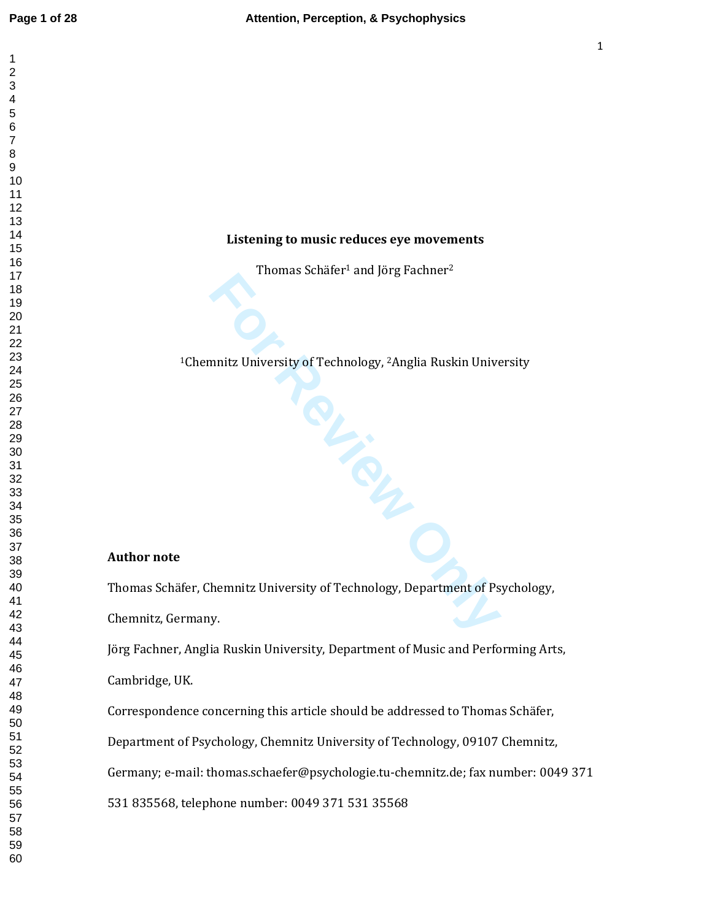#### **Listening to music reduces eye movements**

Thomas Schäfer <sup>1</sup> and Jörg Fachner 2

Chemnitz University of Technology, <sup>2</sup>Anglia Ruskin University

**FREE** 

#### **Author note**

Thomas Schäfer, Chemnitz University of Technology, Department of Psychology,

Chemnitz, Germany.

Jörg Fachner, Anglia Ruskin University, Department of Music and Performing Arts,

Cambridge, UK.

Correspondence concerning this article should be addressed to Thomas Schäfer,

Department of Psychology, Chemnitz University of Technology, 09107 Chemnitz,

Germany; e-mail: thomas.schaefer@psychologie.tu-chemnitz.de; fax number: 0049 371

531 835568, telephone number: 0049 371 531 35568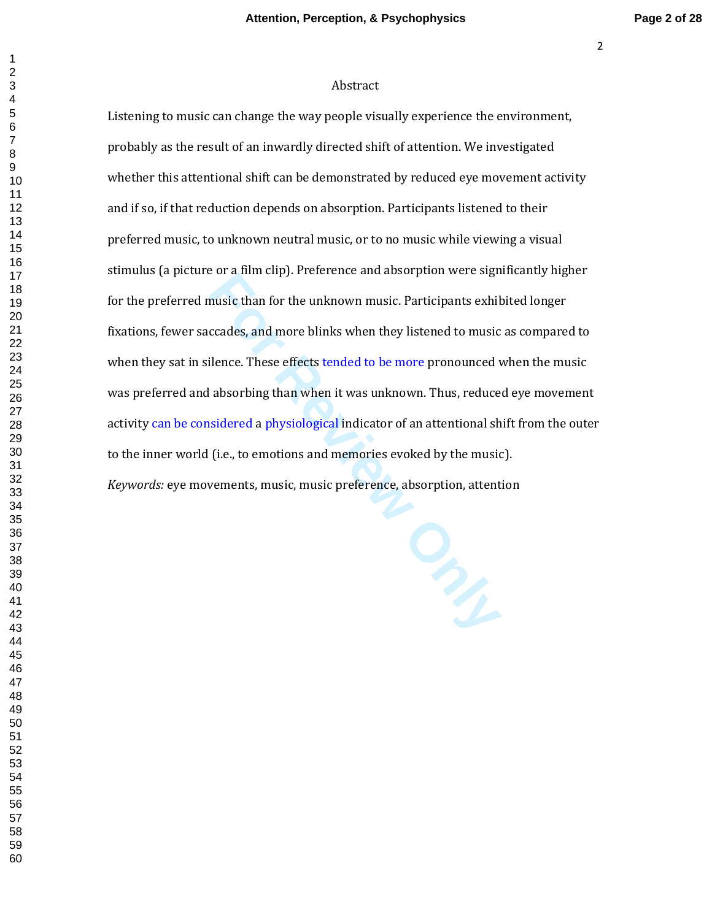#### Abstract

Listening to music can change the way people visually experience the environment, probably as the result of an inwardly directed shift of attention. We investigated whether this attentional shift can be demonstrated by reduced eye movement activity and if so, if that reduction depends on absorption. Participants listened to their preferred music, to unknown neutral music, or to no music while viewing a visual stimulus (a picture or a film clip). Preference and absorption were significantly higher for the preferred music than for the unknown music. Participants exhibited longer fixations, fewer saccades, and more blinks when they listened to music as compared to when they sat in silence. These effects tended to be more pronounced when the music was preferred and absorbing than when it was unknown. Thus, reduced eye movement activity can be considered a physiological indicator of an attentional shift from the outer to the inner world (i.e., to emotions and memories evoked by the music). *Keywords:* eye movements, music, music preference, absorption, attention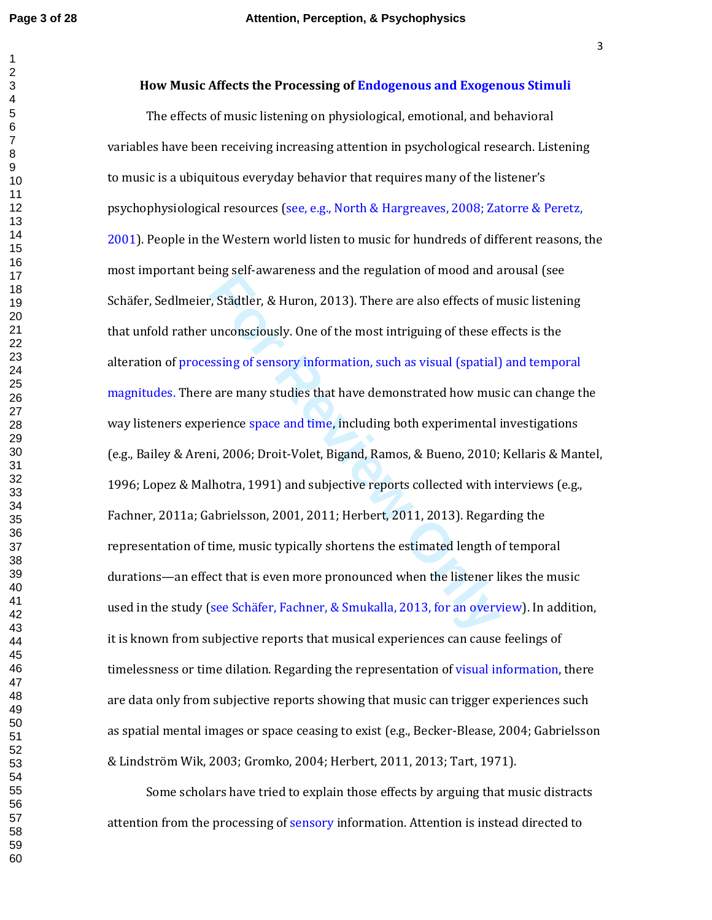## **How Music Affects the Processing of Endogenous and Exogenous Stimuli**

**For Example 12 and 12 and 12 and 12 and 12 and 12 and 12 and 12 and 12 and 12 and 12 and 12 and 12 and 12 and 12 and 12 and 12 and 12 and 12 and 12 and 12 are many studies that have demonstrated how must rience space and** The effects of music listening on physiological, emotional, and behavioral variables have been receiving increasing attention in psychological research. Listening to music is a ubiquitous everyday behavior that requires many of the listener's psychophysiological resources (see, e.g., North & Hargreaves, 2008; Zatorre & Peretz, 2001). People in the Western world listen to music for hundreds of different reasons, the most important being self-awareness and the regulation of mood and arousal (see Schäfer, Sedlmeier, Städtler, & Huron, 2013). There are also effects of music listening that unfold rather unconsciously. One of the most intriguing of these effects is the alteration of processing of sensory information, such as visual (spatial) and temporal magnitudes. There are many studies that have demonstrated how music can change the way listeners experience space and time, including both experimental investigations (e.g., Bailey & Areni, 2006; Droit-Volet, Bigand, Ramos, & Bueno, 2010; Kellaris & Mantel, 1996; Lopez & Malhotra, 1991) and subjective reports collected with interviews (e.g., Fachner, 2011a; Gabrielsson, 2001, 2011; Herbert, 2011, 2013). Regarding the representation of time, music typically shortens the estimated length of temporal durations—an effect that is even more pronounced when the listener likes the music used in the study (see Schäfer, Fachner, & Smukalla, 2013, for an overview). In addition, it is known from subjective reports that musical experiences can cause feelings of timelessness or time dilation. Regarding the representation of visual information, there are data only from subjective reports showing that music can trigger experiences such as spatial mental images or space ceasing to exist (e.g., Becker-Blease, 2004; Gabrielsson & Lindström Wik, 2003; Gromko, 2004; Herbert, 2011, 2013; Tart, 1971).

Some scholars have tried to explain those effects by arguing that music distracts attention from the processing of sensory information. Attention is instead directed to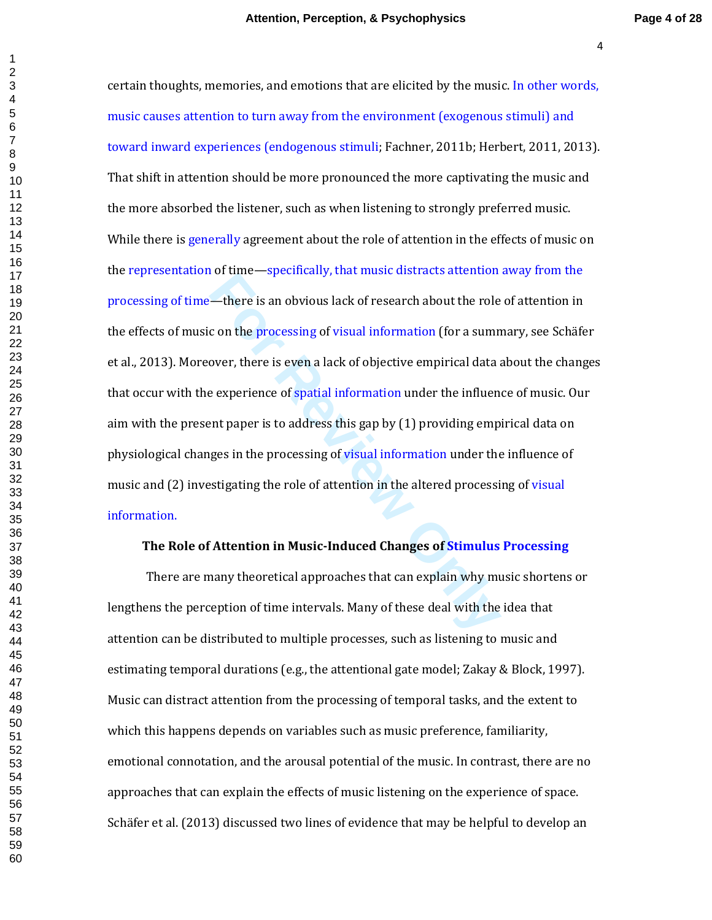—there is an obvious lack of research about the role<br>
c on the processing of visual information (for a sumn<br>
over, there is even a lack of objective empirical data a<br>
e experience of spatial information under the influen<br> certain thoughts, memories, and emotions that are elicited by the music. In other words, music causes attention to turn away from the environment (exogenous stimuli) and toward inward experiences (endogenous stimuli; Fachner, 2011b; Herbert, 2011, 2013). That shift in attention should be more pronounced the more captivating the music and the more absorbed the listener, such as when listening to strongly preferred music. While there is generally agreement about the role of attention in the effects of music on the representation of time—specifically, that music distracts attention away from the processing of time—there is an obvious lack of research about the role of attention in the effects of music on the processing of visual information (for a summary, see Schäfer et al., 2013). Moreover, there is even a lack of objective empirical data about the changes that occur with the experience of spatial information under the influence of music. Our aim with the present paper is to address this gap by (1) providing empirical data on physiological changes in the processing of visual information under the influence of music and (2) investigating the role of attention in the altered processing of visual information.

## **The Role of Attention in Music-Induced Changes of Stimulus Processing**

There are many theoretical approaches that can explain why music shortens or lengthens the perception of time intervals. Many of these deal with the idea that attention can be distributed to multiple processes, such as listening to music and estimating temporal durations (e.g., the attentional gate model; Zakay & Block, 1997). Music can distract attention from the processing of temporal tasks, and the extent to which this happens depends on variables such as music preference, familiarity, emotional connotation, and the arousal potential of the music. In contrast, there are no approaches that can explain the effects of music listening on the experience of space. Schäfer et al. (2013) discussed two lines of evidence that may be helpful to develop an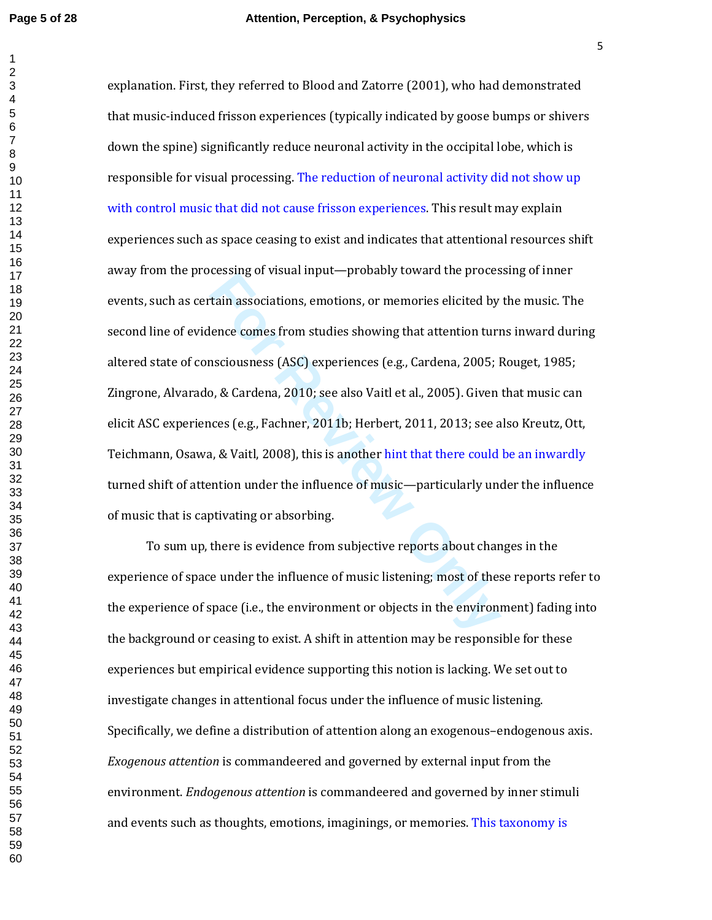**Example 1 For Formal Algeben Conserval and Servers**<br> **For Formal Algeben Conserval and Servers**<br> **For Review Only 2010; See also Vaitl et al., 2005, 2005; 1**<br> **D. & Cardena, 2010; see also Vaitl et al., 2005). Given**<br> explanation. First, they referred to Blood and Zatorre (2001), who had demonstrated that music-induced frisson experiences (typically indicated by goose bumps or shivers down the spine) significantly reduce neuronal activity in the occipital lobe, which is responsible for visual processing. The reduction of neuronal activity did not show up with control music that did not cause frisson experiences. This result may explain experiences such as space ceasing to exist and indicates that attentional resources shift away from the processing of visual input—probably toward the processing of inner events, such as certain associations, emotions, or memories elicited by the music. The second line of evidence comes from studies showing that attention turns inward during altered state of consciousness (ASC) experiences (e.g., Cardena, 2005; Rouget, 1985; Zingrone, Alvarado, & Cardena, 2010; see also Vaitl et al., 2005). Given that music can elicit ASC experiences (e.g., Fachner, 2011b; Herbert, 2011, 2013; see also Kreutz, Ott, Teichmann, Osawa, & Vaitl, 2008), this is another hint that there could be an inwardly turned shift of attention under the influence of music—particularly under the influence of music that is captivating or absorbing.

To sum up, there is evidence from subjective reports about changes in the experience of space under the influence of music listening; most of these reports refer to the experience of space (i.e., the environment or objects in the environment) fading into the background or ceasing to exist. A shift in attention may be responsible for these experiences but empirical evidence supporting this notion is lacking. We set out to investigate changes in attentional focus under the influence of music listening. Specifically, we define a distribution of attention along an exogenous–endogenous axis. *Exogenous attention* is commandeered and governed by external input from the environment. *Endogenous attention* is commandeered and governed by inner stimuli and events such as thoughts, emotions, imaginings, or memories. This taxonomy is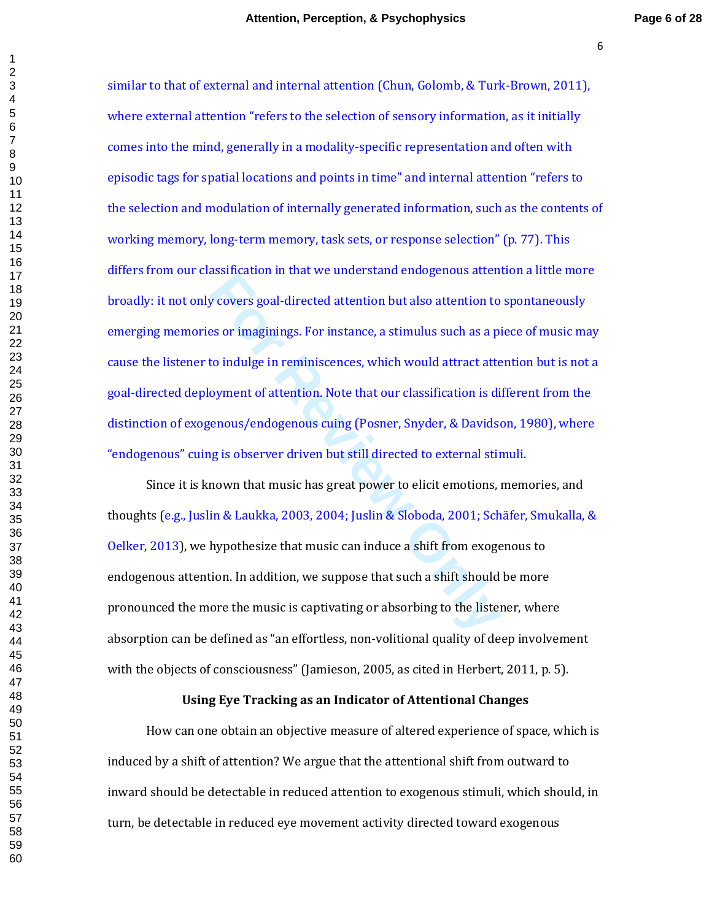**Formally and Solution In that we direct stand emogenous attent<br>
<b>Formally interest of a stand in the set of a step in reminiscences**, which would attract atte<br> **Formally** in reminiscences, which would attract atte<br> **Forma** similar to that of external and internal attention (Chun, Golomb, & Turk-Brown, 2011), where external attention "refers to the selection of sensory information, as it initially comes into the mind, generally in a modality-specific representation and often with episodic tags for spatial locations and points in time" and internal attention "refers to the selection and modulation of internally generated information, such as the contents of working memory, long-term memory, task sets, or response selection" (p. 77). This differs from our classification in that we understand endogenous attention a little more broadly: it not only covers goal-directed attention but also attention to spontaneously emerging memories or imaginings. For instance, a stimulus such as a piece of music may cause the listener to indulge in reminiscences, which would attract attention but is not a goal-directed deployment of attention. Note that our classification is different from the distinction of exogenous/endogenous cuing (Posner, Snyder, & Davidson, 1980), where "endogenous" cuing is observer driven but still directed to external stimuli.

Since it is known that music has great power to elicit emotions, memories, and thoughts (e.g., Juslin & Laukka, 2003, 2004; Juslin & Sloboda, 2001; Schäfer, Smukalla, & Oelker, 2013), we hypothesize that music can induce a shift from exogenous to endogenous attention. In addition, we suppose that such a shift should be more pronounced the more the music is captivating or absorbing to the listener, where absorption can be defined as "an effortless, non-volitional quality of deep involvement with the objects of consciousness" (Jamieson, 2005, as cited in Herbert, 2011, p. 5).

#### **Using Eye Tracking as an Indicator of Attentional Changes**

How can one obtain an objective measure of altered experience of space, which is induced by a shift of attention? We argue that the attentional shift from outward to inward should be detectable in reduced attention to exogenous stimuli, which should, in turn, be detectable in reduced eye movement activity directed toward exogenous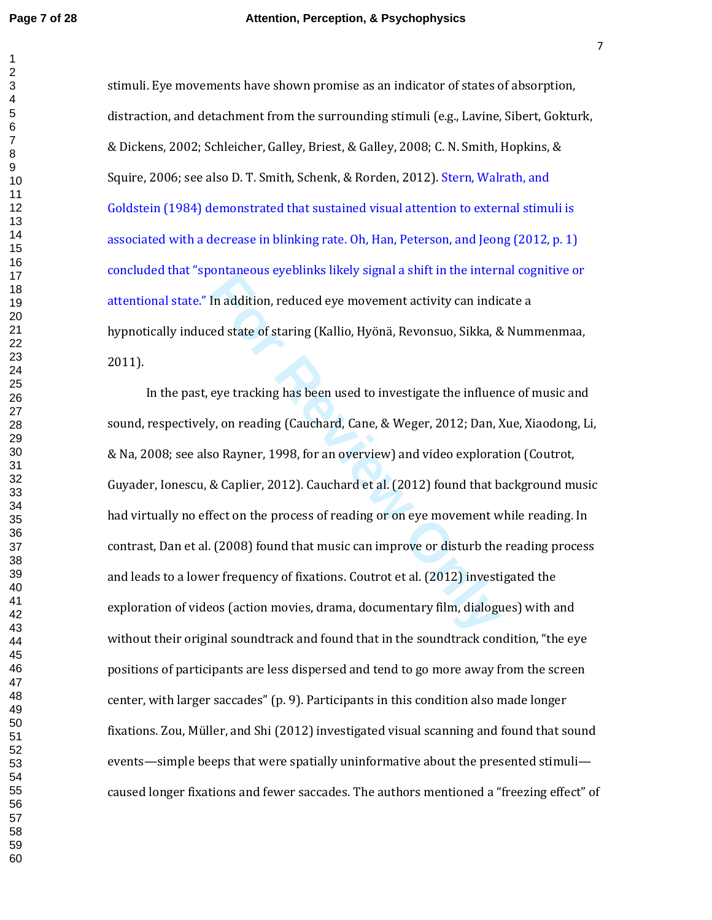stimuli. Eye movements have shown promise as an indicator of states of absorption, distraction, and detachment from the surrounding stimuli (e.g., Lavine, Sibert, Gokturk, & Dickens, 2002; Schleicher, Galley, Briest, & Galley, 2008; C. N. Smith, Hopkins, & Squire, 2006; see also D. T. Smith, Schenk, & Rorden, 2012). Stern, Walrath, and Goldstein (1984) demonstrated that sustained visual attention to external stimuli is associated with a decrease in blinking rate. Oh, Han, Peterson, and Jeong (2012, p. 1) concluded that "spontaneous eyeblinks likely signal a shift in the internal cognitive or attentional state." In addition, reduced eye movement activity can indicate a hypnotically induced state of staring (Kallio, Hyönä, Revonsuo, Sikka, & Nummenmaa, 2011).

In addition, reduced eye movement activity can indiced state of staring (Kallio, Hyönä, Revonsuo, Sikka, &<br>eye tracking has been used to investigate the influency, on reading (Cauchard, Cane, & Weger, 2012; Dan, J<br>so Rayne In the past, eye tracking has been used to investigate the influence of music and sound, respectively, on reading (Cauchard, Cane, & Weger, 2012; Dan, Xue, Xiaodong, Li, & Na, 2008; see also Rayner, 1998, for an overview) and video exploration (Coutrot, Guyader, Ionescu, & Caplier, 2012). Cauchard et al. (2012) found that background music had virtually no effect on the process of reading or on eye movement while reading. In contrast, Dan et al. (2008) found that music can improve or disturb the reading process and leads to a lower frequency of fixations. Coutrot et al. (2012) investigated the exploration of videos (action movies, drama, documentary film, dialogues) with and without their original soundtrack and found that in the soundtrack condition, "the eye positions of participants are less dispersed and tend to go more away from the screen center, with larger saccades" (p. 9). Participants in this condition also made longer fixations. Zou, Müller, and Shi (2012) investigated visual scanning and found that sound events—simple beeps that were spatially uninformative about the presented stimuli caused longer fixations and fewer saccades. The authors mentioned a "freezing effect" of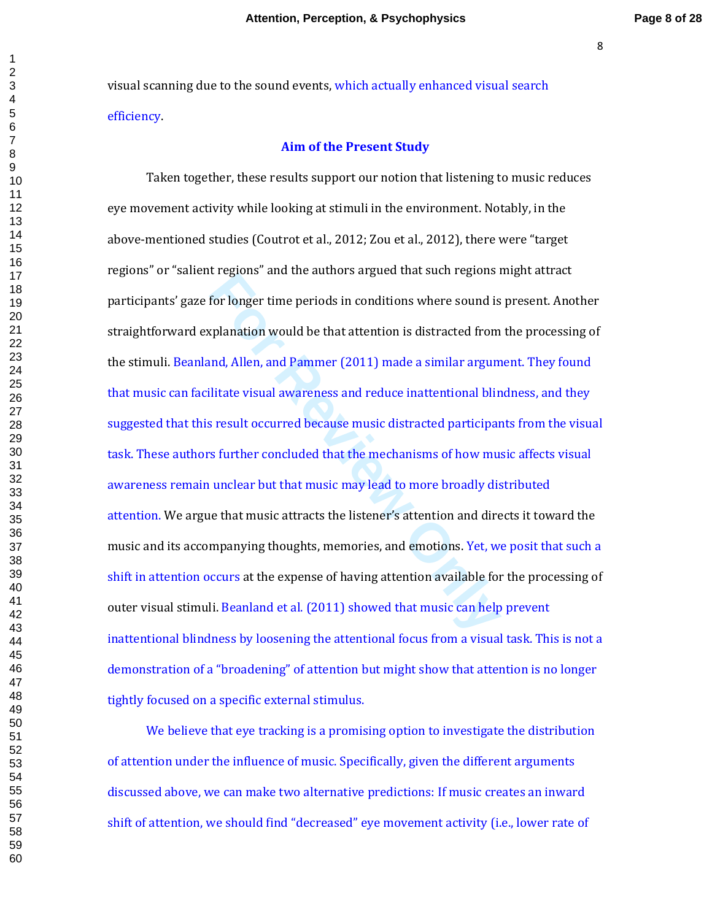visual scanning due to the sound events, which actually enhanced visual search efficiency.

## **Aim of the Present Study**

For longer time periods in conditions where sound is<br>the splanation would be that attention is distracted from<br>and, Allen, and Pammer (2011) made a similar argum<br>litate visual awareness and reduce inattentional blir<br>s resu Taken together, these results support our notion that listening to music reduces eye movement activity while looking at stimuli in the environment. Notably, in the above-mentioned studies (Coutrot et al., 2012; Zou et al., 2012), there were "target regions" or "salient regions" and the authors argued that such regions might attract participants' gaze for longer time periods in conditions where sound is present. Another straightforward explanation would be that attention is distracted from the processing of the stimuli. Beanland, Allen, and Pammer (2011) made a similar argument. They found that music can facilitate visual awareness and reduce inattentional blindness, and they suggested that this result occurred because music distracted participants from the visual task. These authors further concluded that the mechanisms of how music affects visual awareness remain unclear but that music may lead to more broadly distributed attention. We argue that music attracts the listener's attention and directs it toward the music and its accompanying thoughts, memories, and emotions. Yet, we posit that such a shift in attention occurs at the expense of having attention available for the processing of outer visual stimuli. Beanland et al. (2011) showed that music can help prevent inattentional blindness by loosening the attentional focus from a visual task. This is not a demonstration of a "broadening" of attention but might show that attention is no longer tightly focused on a specific external stimulus.

We believe that eye tracking is a promising option to investigate the distribution of attention under the influence of music. Specifically, given the different arguments discussed above, we can make two alternative predictions: If music creates an inward shift of attention, we should find "decreased" eye movement activity (i.e., lower rate of

 $\mathbf{1}$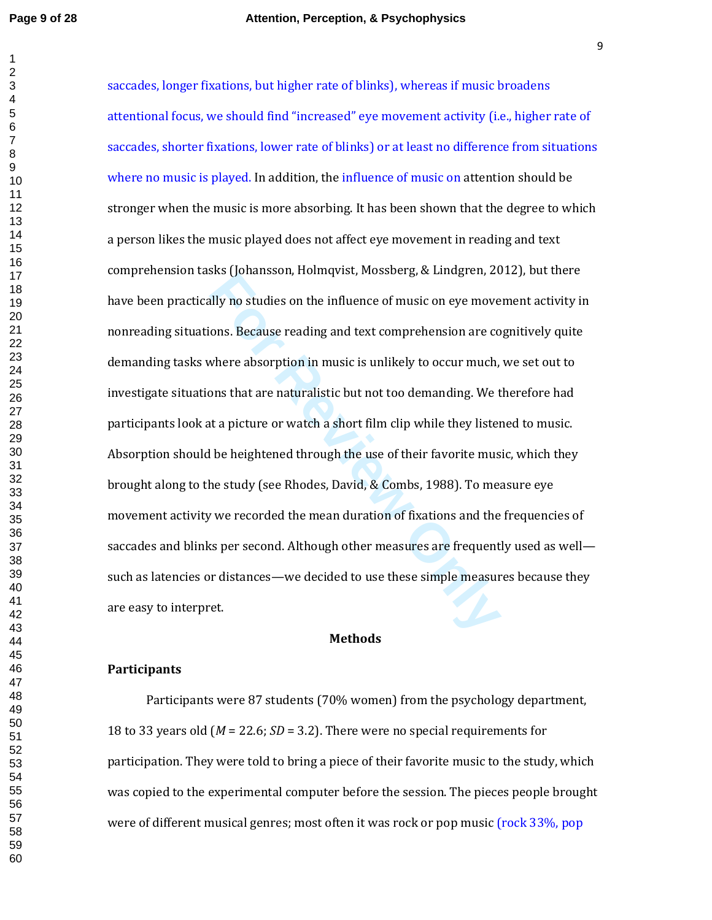For Boundaryon, Homequia, Hosssberg, & Endgren, 20<br>
Illy no studies on the influence of music on eye move<br>
ons. Because reading and text comprehension are co<br>
where absorption in music is unlikely to occur much,<br>
ons that saccades, longer fixations, but higher rate of blinks), whereas if music broadens attentional focus, we should find "increased" eye movement activity (i.e., higher rate of saccades, shorter fixations, lower rate of blinks) or at least no difference from situations where no music is played. In addition, the influence of music on attention should be stronger when the music is more absorbing. It has been shown that the degree to which a person likes the music played does not affect eye movement in reading and text comprehension tasks (Johansson, Holmqvist, Mossberg, & Lindgren, 2012), but there have been practically no studies on the influence of music on eye movement activity in nonreading situations. Because reading and text comprehension are cognitively quite demanding tasks where absorption in music is unlikely to occur much, we set out to investigate situations that are naturalistic but not too demanding. We therefore had participants look at a picture or watch a short film clip while they listened to music. Absorption should be heightened through the use of their favorite music, which they brought along to the study (see Rhodes, David, & Combs, 1988). To measure eye movement activity we recorded the mean duration of fixations and the frequencies of saccades and blinks per second. Although other measures are frequently used as well such as latencies or distances—we decided to use these simple measures because they are easy to interpret.

#### **Methods**

#### **Participants**

Participants were 87 students (70% women) from the psychology department, 18 to 33 years old ( *M* = 22.6; *SD* = 3.2). There were no special requirements for participation. They were told to bring a piece of their favorite music to the study, which was copied to the experimental computer before the session. The pieces people brought were of different musical genres; most often it was rock or pop music (rock 33%, pop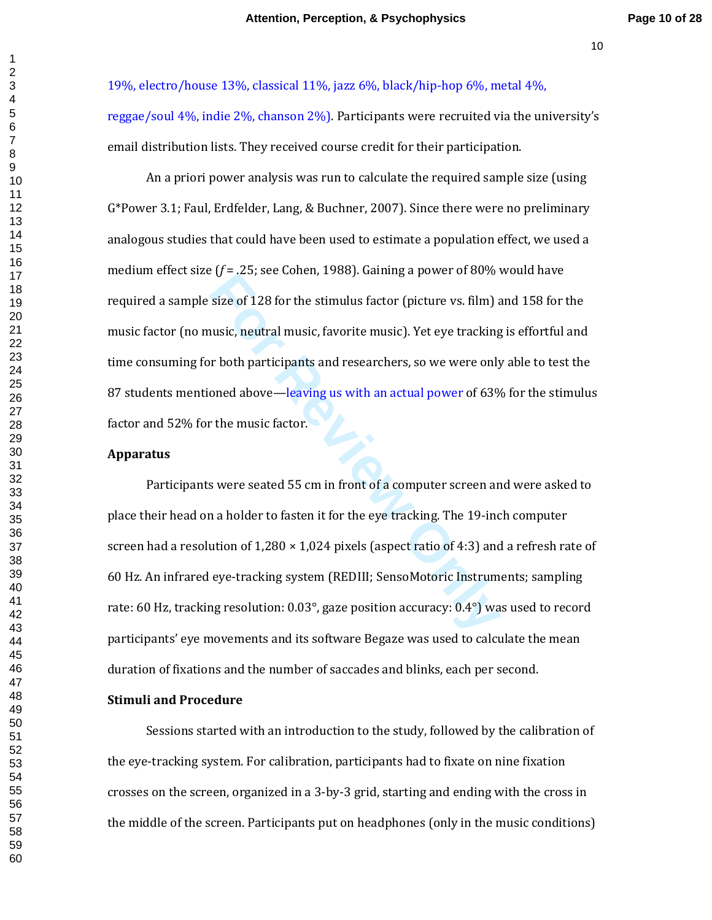19%, electro/house 13%, classical 11%, jazz 6%, black/hip-hop 6%, metal 4%, reggae/soul 4%, indie 2%, chanson 2%). Participants were recruited via the university's email distribution lists. They received course credit for their participation.

An a priori power analysis was run to calculate the required sample size (using G\*Power 3.1; Faul, Erdfelder, Lang, & Buchner, 2007). Since there were no preliminary analogous studies that could have been used to estimate a population effect, we used a medium effect size (*f* = .25; see Cohen, 1988). Gaining a power of 80% would have required a sample size of 128 for the stimulus factor (picture vs. film) and 158 for the music factor (no music, neutral music, favorite music). Yet eye tracking is effortful and time consuming for both participants and researchers, so we were only able to test the 87 students mentioned above—leaving us with an actual power of 63% for the stimulus factor and 52% for the music factor.

#### **Apparatus**

size of 128 for the stimulus factor (picture vs. film) a<br>size of 128 for the stimulus factor (picture vs. film) a<br>usic, neutral music, favorite music). Yet eye tracking<br>r both participants and researchers, so we were only<br> Participants were seated 55 cm in front of a computer screen and were asked to place their head on a holder to fasten it for the eye tracking. The 19-inch computer screen had a resolution of  $1,280 \times 1,024$  pixels (aspect ratio of 4:3) and a refresh rate of 60 Hz. An infrared eye-tracking system (REDIII; SensoMotoric Instruments; sampling rate: 60 Hz, tracking resolution: 0.03°, gaze position accuracy: 0.4°) was used to record participants' eye movements and its software Begaze was used to calculate the mean duration of fixations and the number of saccades and blinks, each per second.

#### **Stimuli and Procedure**

Sessions started with an introduction to the study, followed by the calibration of the eye-tracking system. For calibration, participants had to fixate on nine fixation crosses on the screen, organized in a 3-by-3 grid, starting and ending with the cross in the middle of the screen. Participants put on headphones (only in the music conditions)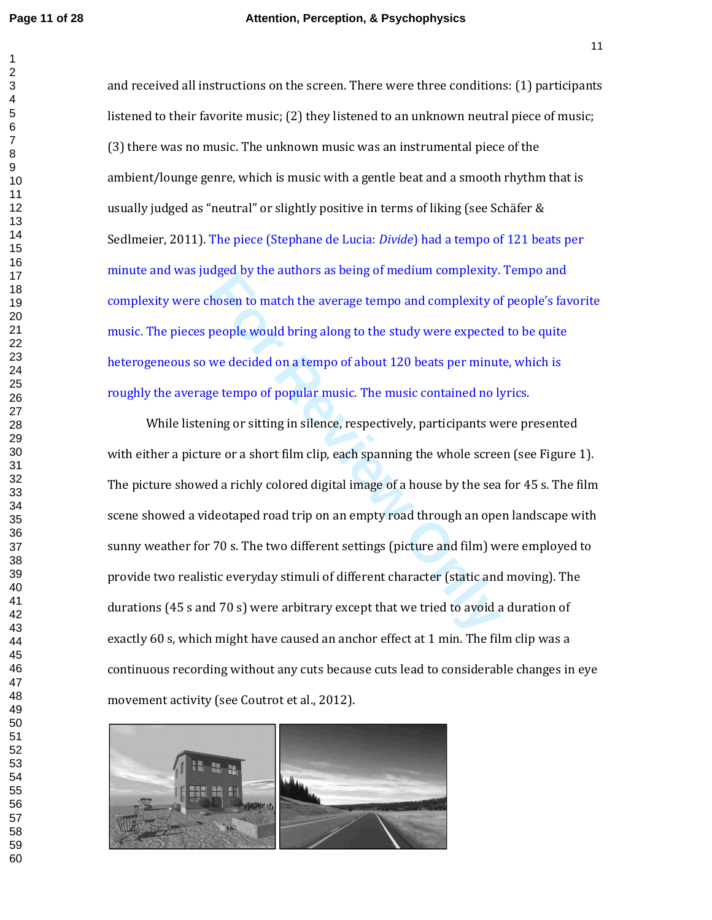and received all instructions on the screen. There were three conditions: (1) participants listened to their favorite music; (2) they listened to an unknown neutral piece of music; (3) there was no music. The unknown music was an instrumental piece of the ambient/lounge genre, which is music with a gentle beat and a smooth rhythm that is usually judged as "neutral" or slightly positive in terms of liking (see Schäfer & Sedlmeier, 2011). The piece (Stephane de Lucia: *Divide*) had a tempo of 121 beats per minute and was judged by the authors as being of medium complexity. Tempo and complexity were chosen to match the average tempo and complexity of people's favorite music. The pieces people would bring along to the study were expected to be quite heterogeneous so we decided on a tempo of about 120 beats per minute, which is roughly the average tempo of popular music. The music contained no lyrics.

readed by the attancistas being of median complexity.<br> **For All the Example 2** and complexity of people would bring along to the study were expected<br>
we decided on a tempo of about 120 beats per minut<br>
ge tempo of popular While listening or sitting in silence, respectively, participants were presented with either a picture or a short film clip, each spanning the whole screen (see Figure 1). The picture showed a richly colored digital image of a house by the sea for 45 s. The film scene showed a videotaped road trip on an empty road through an open landscape with sunny weather for 70 s. The two different settings (picture and film) were employed to provide two realistic everyday stimuli of different character (static and moving). The durations (45 s and 70 s) were arbitrary except that we tried to avoid a duration of exactly 60 s, which might have caused an anchor effect at 1 min. The film clip was a continuous recording without any cuts because cuts lead to considerable changes in eye movement activity (see Coutrot et al., 2012).

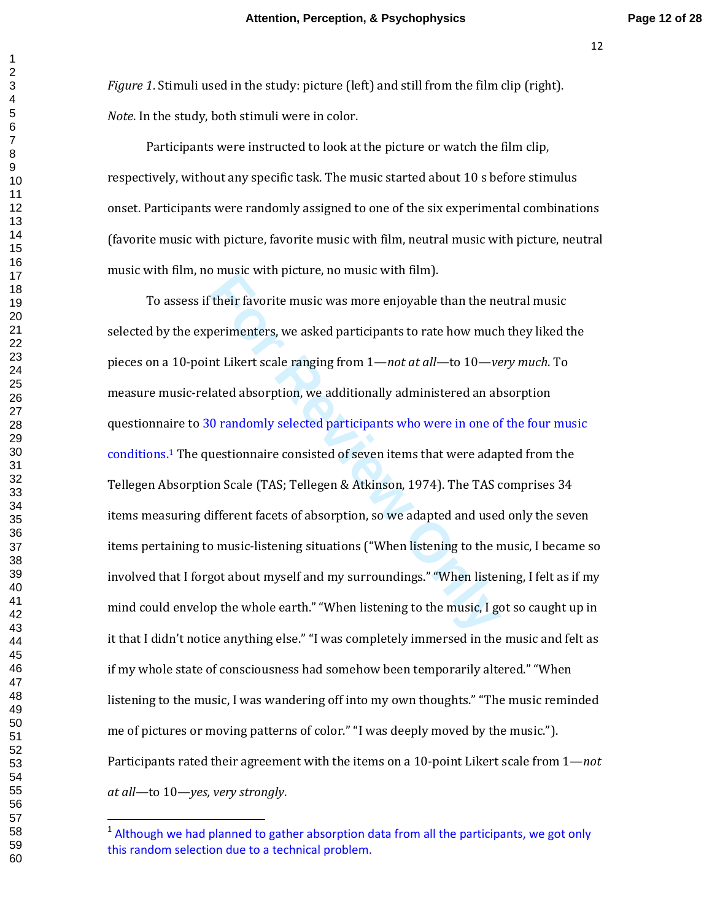*Figure 1*. Stimuli used in the study: picture (left) and still from the film clip (right). *Note*. In the study, both stimuli were in color.

Participants were instructed to look at the picture or watch the film clip, respectively, without any specific task. The music started about 10 s before stimulus onset. Participants were randomly assigned to one of the six experimental combinations (favorite music with picture, favorite music with film, neutral music with picture, neutral music with film, no music with picture, no music with film).

Their favorite music was more enjoyable than the ne<br>perimenters, we asked participants to rate how much<br>nt Likert scale ranging from  $1$ —*not at all*—to  $10$ —*ve*<br>lated absorption, we additionally administered an ab<br>0 rand To assess if their favorite music was more enjoyable than the neutral music selected by the experimenters, we asked participants to rate how much they liked the pieces on a 10-point Likert scale ranging from 1—*not at all*—to 10—*very much*. To measure music-related absorption, we additionally administered an absorption questionnaire to 30 randomly selected participants who were in one of the four music conditions. <sup>1</sup> The questionnaire consisted of seven items that were adapted from the Tellegen Absorption Scale (TAS; Tellegen & Atkinson, 1974). The TAS comprises 34 items measuring different facets of absorption, so we adapted and used only the seven items pertaining to music-listening situations ("When listening to the music, I became so involved that I forgot about myself and my surroundings." "When listening, I felt as if my mind could envelop the whole earth." "When listening to the music, I got so caught up in it that I didn't notice anything else." "I was completely immersed in the music and felt as if my whole state of consciousness had somehow been temporarily altered." "When listening to the music, I was wandering off into my own thoughts." "The music reminded me of pictures or moving patterns of color." "I was deeply moved by the music."). Participants rated their agreement with the items on a 10-point Likert scale from 1—*not at all*—to 10—*yes, very strongly*.

 $<sup>1</sup>$  Although we had planned to gather absorption data from all the participants, we got only</sup> this random selection due to a technical problem.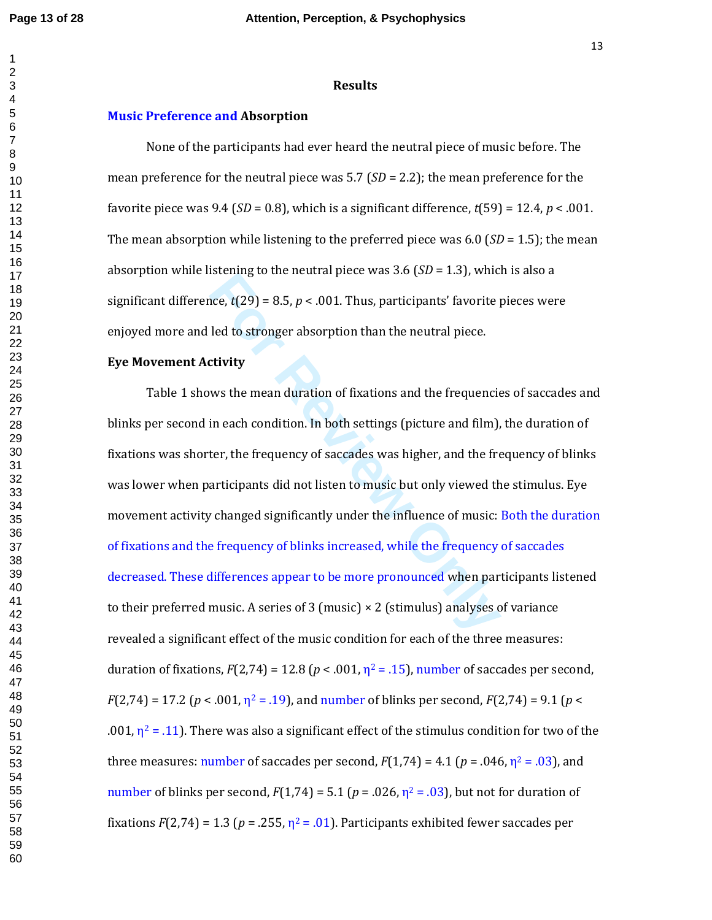#### **Results**

#### **Music Preference and Absorption**

None of the participants had ever heard the neutral piece of music before. The mean preference for the neutral piece was 5.7 (*SD* = 2.2); the mean preference for the favorite piece was 9.4 (*SD* = 0.8), which is a significant difference, *t*(59) = 12.4, *p* < .001. The mean absorption while listening to the preferred piece was 6.0 (*SD* = 1.5); the mean absorption while listening to the neutral piece was 3.6 (*SD* = 1.3), which is also a significant difference,  $t(29) = 8.5$ ,  $p < .001$ . Thus, participants' favorite pieces were enjoyed more and led to stronger absorption than the neutral piece.

#### **Eye Movement Activity**

**For All 2013** Solution Constrains ( $bD = 1.5$ ), while the stronger absorption than the neutral piece.<br> **Eventure** 1 and to stronger absorption than the neutral piece.<br> **Eventure** 1 and 2015 Units was the mean duration of Table 1 shows the mean duration of fixations and the frequencies of saccades and blinks per second in each condition. In both settings (picture and film), the duration of fixations was shorter, the frequency of saccades was higher, and the frequency of blinks was lower when participants did not listen to music but only viewed the stimulus. Eye movement activity changed significantly under the influence of music: Both the duration of fixations and the frequency of blinks increased, while the frequency of saccades decreased. These differences appear to be more pronounced when participants listened to their preferred music. A series of 3 (music)  $\times$  2 (stimulus) analyses of variance revealed a significant effect of the music condition for each of the three measures: duration of fixations,  $F(2,74) = 12.8$  ( $p < .001$ ,  $\eta^2 = .15$ ), number of saccades per second,  $F(2,74) = 17.2$  ( $p < .001$ ,  $\eta^2 = .19$ ), and number of blinks per second,  $F(2,74) = 9.1$  ( $p <$ .001,  $\eta^2$  = .11). There was also a significant effect of the stimulus condition for two of the three measures: number of saccades per second,  $F(1,74) = 4.1$  ( $p = .046$ ,  $\eta^2 = .03$ ), and number of blinks per second,  $F(1,74) = 5.1$  ( $p = .026$ ,  $\eta^2 = .03$ ), but not for duration of fixations  $F(2,74) = 1.3$  ( $p = .255$ ,  $\eta^2 = .01$ ). Participants exhibited fewer saccades per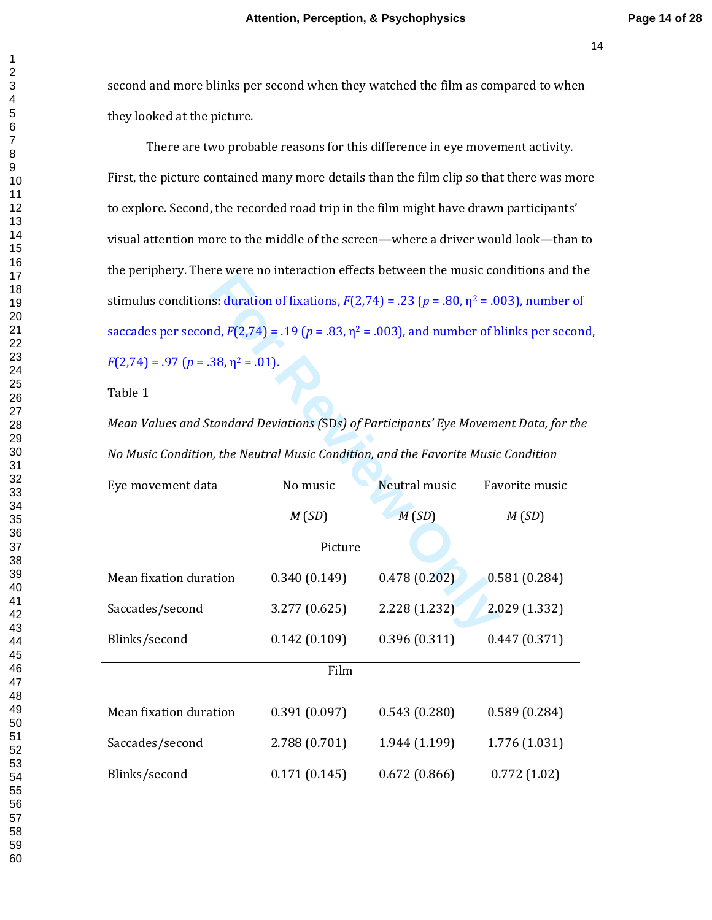second and more blinks per second when they watched the film as compared to when they looked at the picture.

There are two probable reasons for this difference in eye movement activity. First, the picture contained many more details than the film clip so that there was more to explore. Second, the recorded road trip in the film might have drawn participants' visual attention more to the middle of the screen—where a driver would look—than to the periphery. There were no interaction effects between the music conditions and the stimulus conditions: duration of fixations,  $F(2,74) = .23$  ( $p = .80$ ,  $\eta^2 = .003$ ), number of saccades per second,  $F(2,74) = .19$  ( $p = .83$ ,  $\eta^2 = .003$ ), and number of blinks per second,  $F(2,74) = .97$  ( $p = .38$ ,  $\eta^2 = .01$ ).

## Table 1

| the periphery. There were no interaction encers between the music continuous and t                    |               |               |                |  |  |
|-------------------------------------------------------------------------------------------------------|---------------|---------------|----------------|--|--|
| stimulus conditions: duration of fixations, $F(2,74) = .23$ ( $p = .80$ , $\eta^2 = .003$ ), number o |               |               |                |  |  |
| saccades per second, $F(2,74) = .19$ ( $p = .83$ , $\eta^2 = .003$ ), and number of blinks per seco   |               |               |                |  |  |
| $F(2,74) = .97$ ( $p = .38$ , $\eta^2 = .01$ ).                                                       |               |               |                |  |  |
| Table 1                                                                                               |               |               |                |  |  |
| Mean Values and Standard Deviations (SDs) of Participants' Eye Movement Data, for th                  |               |               |                |  |  |
| No Music Condition, the Neutral Music Condition, and the Favorite Music Condition                     |               |               |                |  |  |
| Eye movement data                                                                                     | No music      | Neutral music | Favorite music |  |  |
|                                                                                                       | M(SD)         | M(SD)         | M(SD)          |  |  |
| Picture                                                                                               |               |               |                |  |  |
| Mean fixation duration                                                                                | 0.340(0.149)  | 0.478(0.202)  | 0.581(0.284)   |  |  |
| Saccades/second                                                                                       | 3.277(0.625)  | 2.228 (1.232) | 2.029 (1.332)  |  |  |
| Blinks/second                                                                                         | 0.142(0.109)  | 0.396(0.311)  | 0.447(0.371)   |  |  |
| Film                                                                                                  |               |               |                |  |  |
| Mean fixation duration                                                                                | 0.391(0.097)  | 0.543(0.280)  | 0.589(0.284)   |  |  |
| Saccades/second                                                                                       | 2.788 (0.701) | 1.944 (1.199) | 1.776 (1.031)  |  |  |
| Blinks/second                                                                                         | 0.171(0.145)  | 0.672(0.866)  | 0.772(1.02)    |  |  |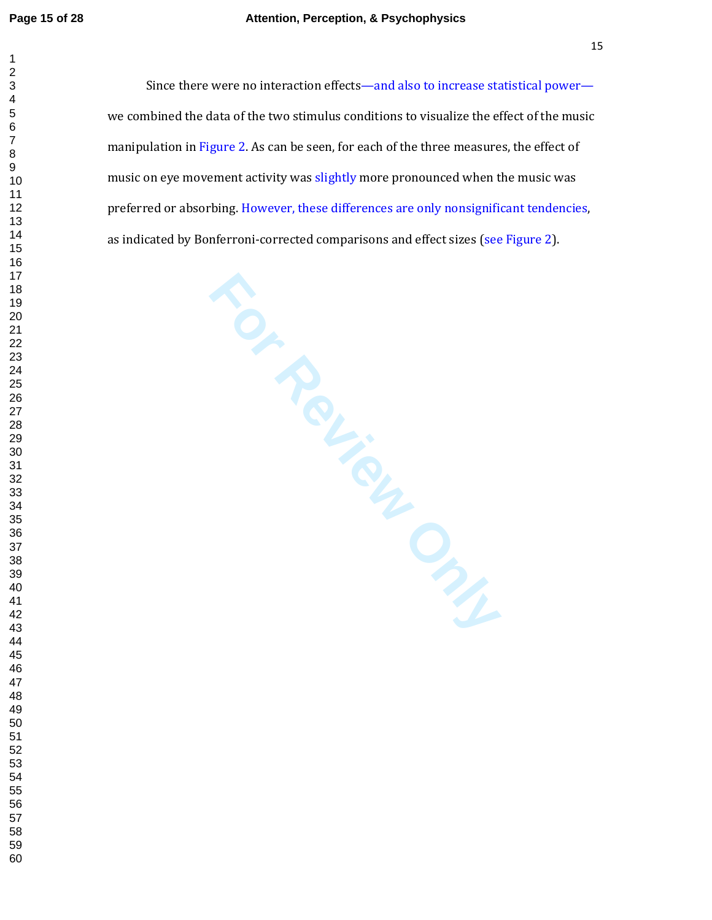#### **Page 15 of 28 Attention, Perception, & Psychophysics**

Since there were no interaction effects—and also to increase statistical power we combined the data of the two stimulus conditions to visualize the effect of the music manipulation in Figure 2. As can be seen, for each of the three measures, the effect of music on eye movement activity was slightly more pronounced when the music was preferred or absorbing. However, these differences are only nonsignificant tendencies, as indicated by Bonferroni-corrected comparisons and effect sizes (see Figure 2).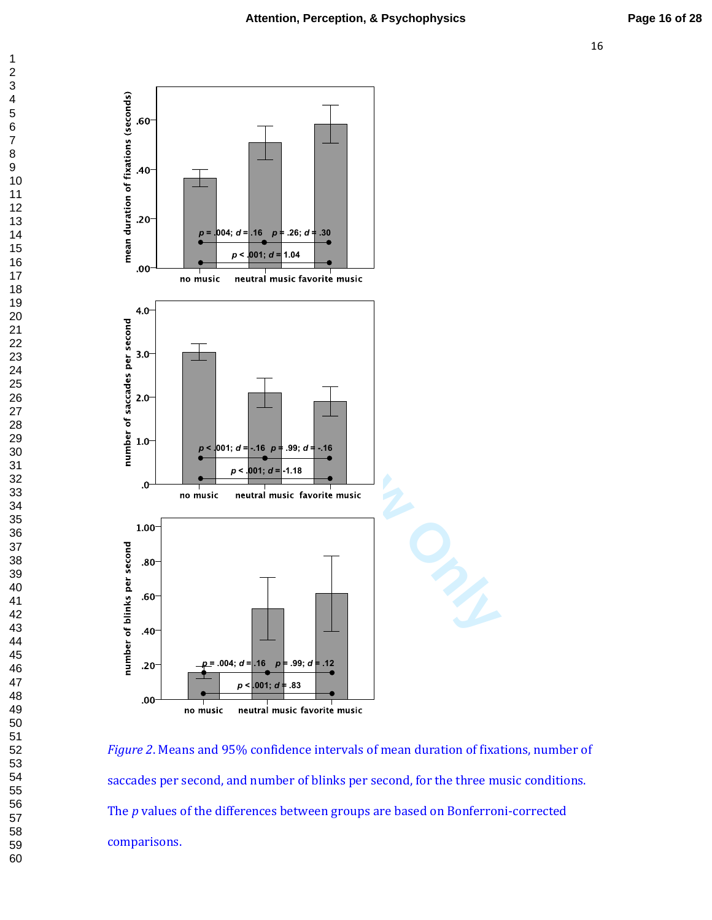

*Figure 2*. Means and 95% confidence intervals of mean duration of fixations, number of saccades per second, and number of blinks per second, for the three music conditions. The *p* values of the differences between groups are based on Bonferroni-corrected comparisons.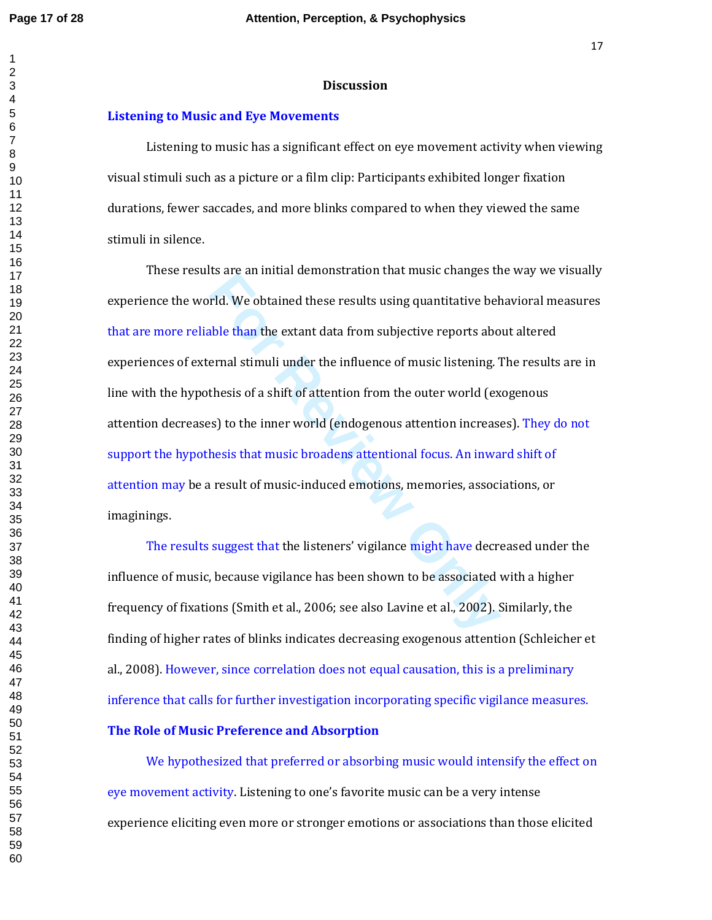#### **Discussion**

#### **Listening to Music and Eye Movements**

 Listening to music has a significant effect on eye movement activity when viewing visual stimuli such as a picture or a film clip: Participants exhibited longer fixation durations, fewer saccades, and more blinks compared to when they viewed the same stimuli in silence.

**Fid.** We obtained these results using quantitative behistan the extant data from subjective reports above that the extant data from subjective reports above and stimuli under the influence of music listening. Thesis of a These results are an initial demonstration that music changes the way we visually experience the world. We obtained these results using quantitative behavioral measures that are more reliable than the extant data from subjective reports about altered experiences of external stimuli under the influence of music listening. The results are in line with the hypothesis of a shift of attention from the outer world (exogenous attention decreases) to the inner world (endogenous attention increases). They do not support the hypothesis that music broadens attentional focus. An inward shift of attention may be a result of music-induced emotions, memories, associations, or imaginings.

The results suggest that the listeners' vigilance might have decreased under the influence of music, because vigilance has been shown to be associated with a higher frequency of fixations (Smith et al., 2006; see also Lavine et al., 2002). Similarly, the finding of higher rates of blinks indicates decreasing exogenous attention (Schleicher et al., 2008). However, since correlation does not equal causation, this is a preliminary inference that calls for further investigation incorporating specific vigilance measures.

## **The Role of Music Preference and Absorption**

We hypothesized that preferred or absorbing music would intensify the effect on eye movement activity. Listening to one's favorite music can be a very intense experience eliciting even more or stronger emotions or associations than those elicited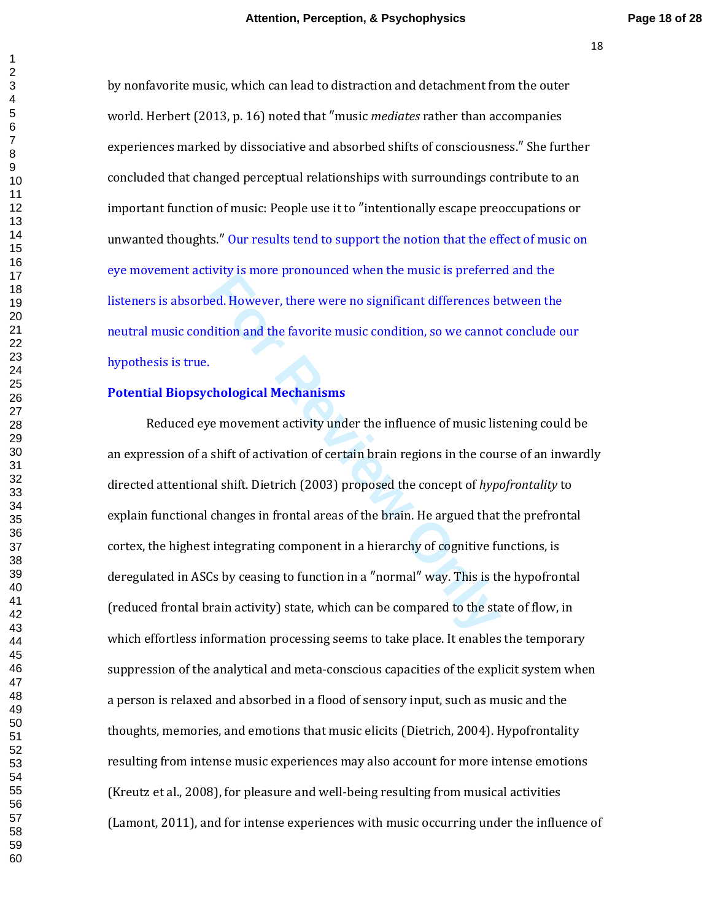by nonfavorite music, which can lead to distraction and detachment from the outer world. Herbert (2013, p. 16) noted that ″music *mediates* rather than accompanies experiences marked by dissociative and absorbed shifts of consciousness.″ She further concluded that changed perceptual relationships with surroundings contribute to an important function of music: People use it to ″intentionally escape preoccupations or unwanted thoughts.″ Our results tend to support the notion that the effect of music on eye movement activity is more pronounced when the music is preferred and the listeners is absorbed. However, there were no significant differences between the neutral music condition and the favorite music condition, so we cannot conclude our hypothesis is true.

## **Potential Biopsychological Mechanisms**

**Formation** and the fremential means of proteined at However, there were no significant differences be dition and the favorite music condition, so we cannot chological Mechanisms<br>
For Review of The influence of music list Reduced eye movement activity under the influence of music listening could be an expression of a shift of activation of certain brain regions in the course of an inwardly directed attentional shift. Dietrich (2003) proposed the concept of *hypofrontality* to explain functional changes in frontal areas of the brain. He argued that the prefrontal cortex, the highest integrating component in a hierarchy of cognitive functions, is deregulated in ASCs by ceasing to function in a ″normal″ way. This is the hypofrontal (reduced frontal brain activity) state, which can be compared to the state of flow, in which effortless information processing seems to take place. It enables the temporary suppression of the analytical and meta-conscious capacities of the explicit system when a person is relaxed and absorbed in a flood of sensory input, such as music and the thoughts, memories, and emotions that music elicits (Dietrich, 2004). Hypofrontality resulting from intense music experiences may also account for more intense emotions (Kreutz et al., 2008), for pleasure and well-being resulting from musical activities (Lamont, 2011), and for intense experiences with music occurring under the influence of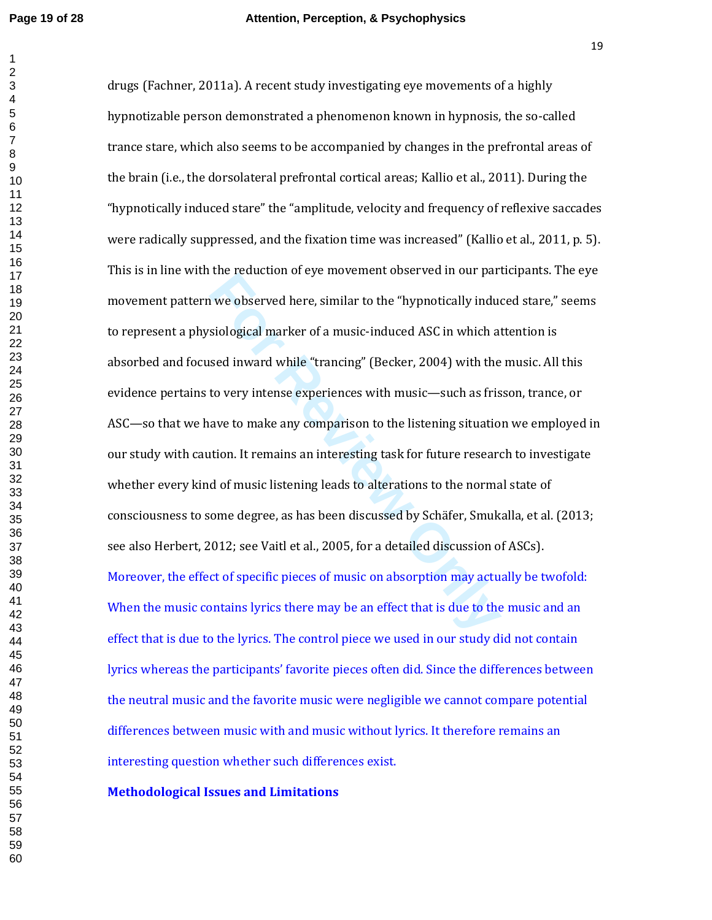#### **Page 19 of 28 Attention, Perception, & Psychophysics**

In the relation of eye introduction of eye introduction of the "hypnotically industiological marker of a music-induced ASC in which a<br>sed inward while "trancing" (Becker, 2004) with the<br>to very intense experiences with mus drugs (Fachner, 2011a). A recent study investigating eye movements of a highly hypnotizable person demonstrated a phenomenon known in hypnosis, the so-called trance stare, which also seems to be accompanied by changes in the prefrontal areas of the brain (i.e., the dorsolateral prefrontal cortical areas; Kallio et al., 2011). During the "hypnotically induced stare" the "amplitude, velocity and frequency of reflexive saccades were radically suppressed, and the fixation time was increased" (Kallio et al., 2011, p. 5). This is in line with the reduction of eye movement observed in our participants. The eye movement pattern we observed here, similar to the "hypnotically induced stare," seems to represent a physiological marker of a music-induced ASC in which attention is absorbed and focused inward while "trancing" (Becker, 2004) with the music. All this evidence pertains to very intense experiences with music—such as frisson, trance, or ASC—so that we have to make any comparison to the listening situation we employed in our study with caution. It remains an interesting task for future research to investigate whether every kind of music listening leads to alterations to the normal state of consciousness to some degree, as has been discussed by Schäfer, Smukalla, et al. (2013; see also Herbert, 2012; see Vaitl et al., 2005, for a detailed discussion of ASCs). Moreover, the effect of specific pieces of music on absorption may actually be twofold: When the music contains lyrics there may be an effect that is due to the music and an effect that is due to the lyrics. The control piece we used in our study did not contain lyrics whereas the participants' favorite pieces often did. Since the differences between the neutral music and the favorite music were negligible we cannot compare potential differences between music with and music without lyrics. It therefore remains an interesting question whether such differences exist.

## **Methodological Issues and Limitations**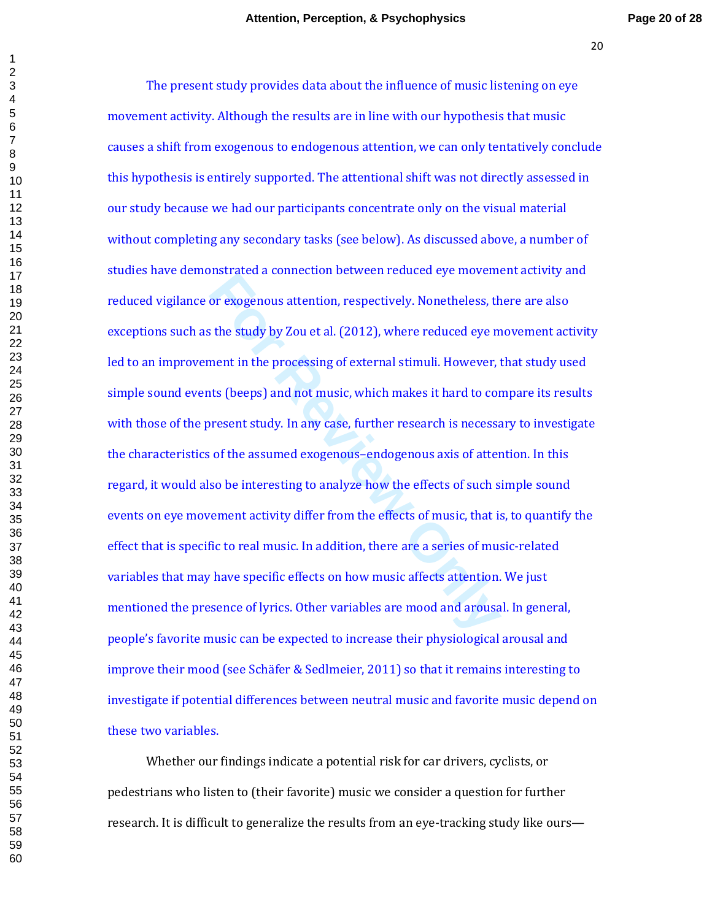For exogenous attention, respectively. Nonetheless, the study by Zou et al. (2012), where reduced eye ment in the processing of external stimuli. However, the study by Zou et al. (2012), where reduced eye ment in the proce The present study provides data about the influence of music listening on eye movement activity. Although the results are in line with our hypothesis that music causes a shift from exogenous to endogenous attention, we can only tentatively conclude this hypothesis is entirely supported. The attentional shift was not directly assessed in our study because we had our participants concentrate only on the visual material without completing any secondary tasks (see below). As discussed above, a number of studies have demonstrated a connection between reduced eye movement activity and reduced vigilance or exogenous attention, respectively. Nonetheless, there are also exceptions such as the study by Zou et al. (2012), where reduced eye movement activity led to an improvement in the processing of external stimuli. However, that study used simple sound events (beeps) and not music, which makes it hard to compare its results with those of the present study. In any case, further research is necessary to investigate the characteristics of the assumed exogenous–endogenous axis of attention. In this regard, it would also be interesting to analyze how the effects of such simple sound events on eye movement activity differ from the effects of music, that is, to quantify the effect that is specific to real music. In addition, there are a series of music-related variables that may have specific effects on how music affects attention. We just mentioned the presence of lyrics. Other variables are mood and arousal. In general, people's favorite music can be expected to increase their physiological arousal and improve their mood (see Schäfer & Sedlmeier, 2011) so that it remains interesting to investigate if potential differences between neutral music and favorite music depend on these two variables.

Whether our findings indicate a potential risk for car drivers, cyclists, or pedestrians who listen to (their favorite) music we consider a question for further research. It is difficult to generalize the results from an eye-tracking study like ours—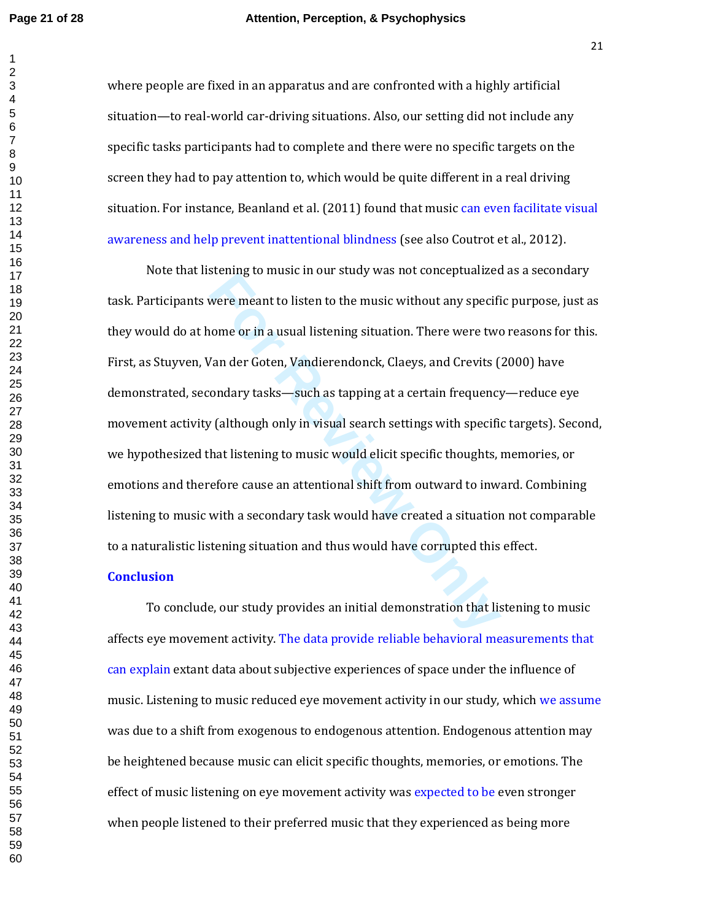#### **Page 21 of 28 Attention, Perception, & Psychophysics**

where people are fixed in an apparatus and are confronted with a highly artificial situation—to real-world car-driving situations. Also, our setting did not include any specific tasks participants had to complete and there were no specific targets on the screen they had to pay attention to, which would be quite different in a real driving situation. For instance, Beanland et al. (2011) found that music can even facilitate visual awareness and help prevent inattentional blindness (see also Coutrot et al., 2012).

because of most in our stady was not conceptant according to mask in our stady was not conceptant any specific<br>ome or in a usual listening situation. There were two<br>lander Goten, Vandierendonck, Claeys, and Crevits (<br>ondar Note that listening to music in our study was not conceptualized as a secondary task. Participants were meant to listen to the music without any specific purpose, just as they would do at home or in a usual listening situation. There were two reasons for this. First, as Stuyven, Van der Goten, Vandierendonck, Claeys, and Crevits (2000) have demonstrated, secondary tasks—such as tapping at a certain frequency—reduce eye movement activity (although only in visual search settings with specific targets). Second, we hypothesized that listening to music would elicit specific thoughts, memories, or emotions and therefore cause an attentional shift from outward to inward. Combining listening to music with a secondary task would have created a situation not comparable to a naturalistic listening situation and thus would have corrupted this effect.

## **Conclusion**

To conclude, our study provides an initial demonstration that listening to music affects eye movement activity. The data provide reliable behavioral measurements that can explain extant data about subjective experiences of space under the influence of music. Listening to music reduced eye movement activity in our study, which we assume was due to a shift from exogenous to endogenous attention. Endogenous attention may be heightened because music can elicit specific thoughts, memories, or emotions. The effect of music listening on eye movement activity was expected to be even stronger when people listened to their preferred music that they experienced as being more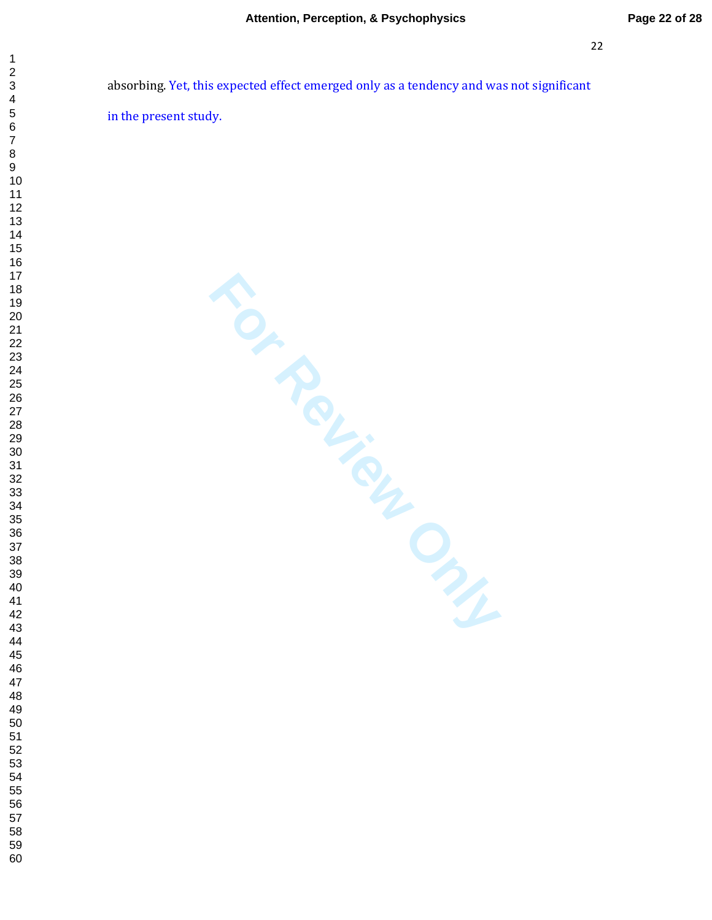absorbing. Yet, this expected effect emerged only as a tendency and was not significant in the present study.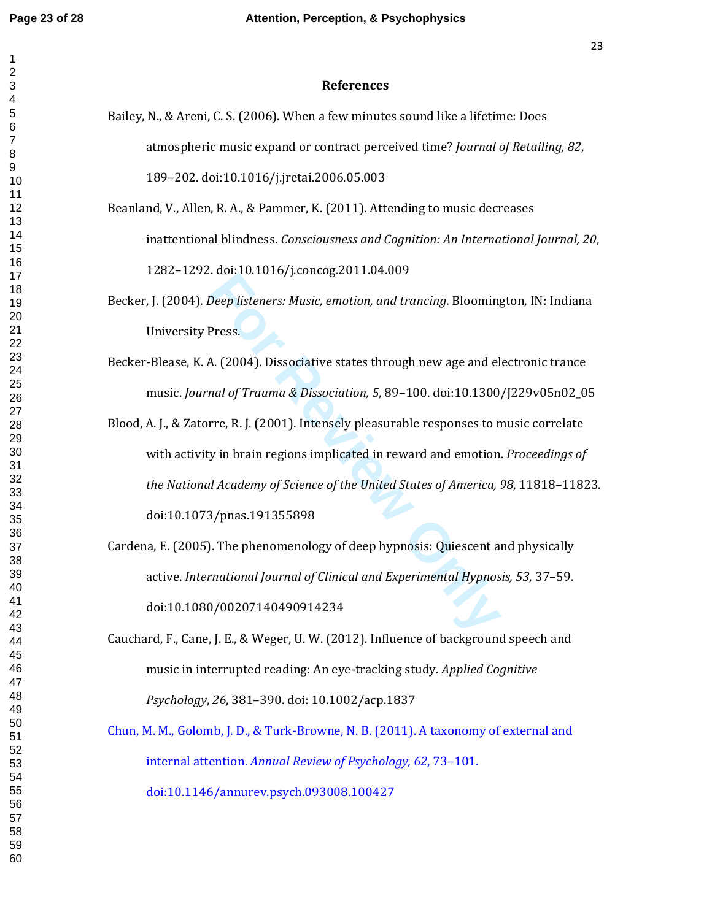$\mathbf 1$  $\overline{c}$  $\overline{3}$  $\overline{\mathbf{4}}$  $\,6$  $\boldsymbol{7}$  $\bf 8$  $\boldsymbol{9}$ 

| <b>References</b>                                                                         |
|-------------------------------------------------------------------------------------------|
| Bailey, N., & Areni, C. S. (2006). When a few minutes sound like a lifetime: Does         |
| atmospheric music expand or contract perceived time? Journal of Retailing, 82,            |
| 189-202. doi:10.1016/j.jretai.2006.05.003                                                 |
| Beanland, V., Allen, R. A., & Pammer, K. (2011). Attending to music decreases             |
| inattentional blindness. Consciousness and Cognition: An International Journal, 20,       |
| 1282-1292. doi:10.1016/j.concog.2011.04.009                                               |
| Becker, J. (2004). Deep listeners: Music, emotion, and trancing. Bloomington, IN: Indiana |
| University Press.                                                                         |
| Becker-Blease, K. A. (2004). Dissociative states through new age and electronic trance    |
| music. Journal of Trauma & Dissociation, 5, 89-100. doi:10.1300/J229v05n02_05             |
| Blood, A. J., & Zatorre, R. J. (2001). Intensely pleasurable responses to music correlate |
| with activity in brain regions implicated in reward and emotion. Proceedings of           |
| the National Academy of Science of the United States of America, 98, 11818-11823.         |
| doi:10.1073/pnas.191355898                                                                |
| Cardena, E. (2005). The phenomenology of deep hypnosis: Quiescent and physically          |
| active. International Journal of Clinical and Experimental Hypnosis, 53, 37-59.           |
| doi:10.1080/00207140490914234                                                             |
| Cauchard, F., Cane, J. E., & Weger, U. W. (2012). Influence of background speech and      |
| music in interrupted reading: An eye-tracking study. Applied Cognitive                    |
| Psychology, 26, 381-390. doi: 10.1002/acp.1837                                            |
| Chun, M. M., Golomb, J. D., & Turk-Browne, N. B. (2011). A taxonomy of external and       |
| internal attention. Annual Review of Psychology, 62, 73-101.                              |
| doi:10.1146/annurev.psych.093008.100427                                                   |
|                                                                                           |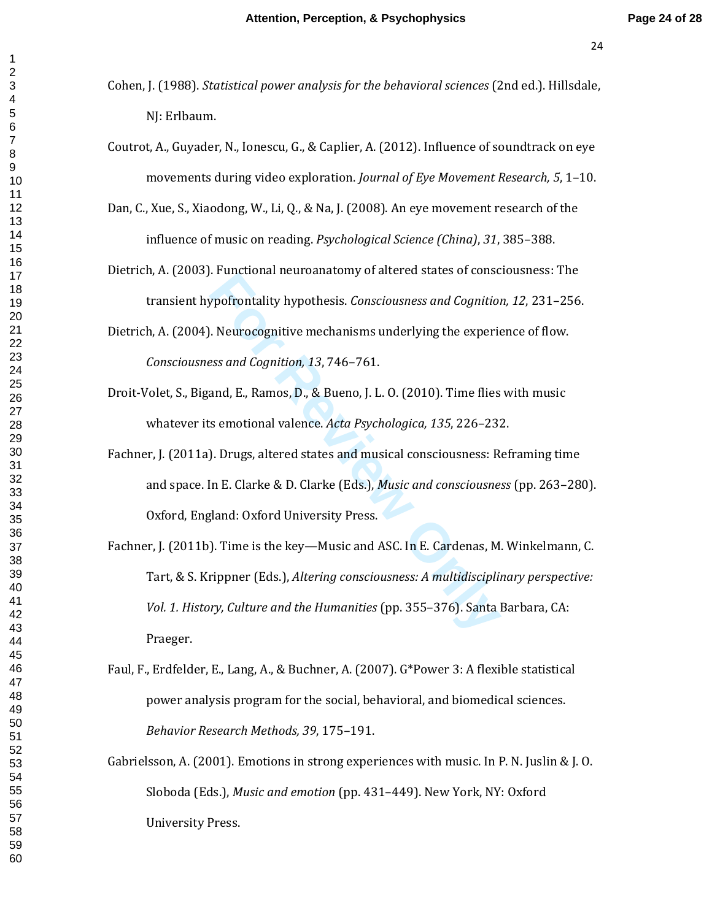- Cohen, J. (1988). *Statistical power analysis for the behavioral sciences* (2nd ed.). Hillsdale, NJ: Erlbaum.
- Coutrot, A., Guyader, N., Ionescu, G., & Caplier, A. (2012). Influence of soundtrack on eye movements during video exploration. *Journal of Eye Movement Research, 5*, 1–10.
- Dan, C., Xue, S., Xiaodong, W., Li, Q., & Na, J. (2008). An eye movement research of the influence of music on reading. *Psychological Science (China)*, *31*, 385–388.
- Dietrich, A. (2003). Functional neuroanatomy of altered states of consciousness: The transient hypofrontality hypothesis. *Consciousness and Cognition, 12*, 231–256.
- Dietrich, A. (2004). Neurocognitive mechanisms underlying the experience of flow. *Consciousness and Cognition, 13*, 746–761.
- Droit-Volet, S., Bigand, E., Ramos, D., & Bueno, J. L. O. (2010). Time flies with music whatever its emotional valence. *Acta Psychologica, 135*, 226–232.
- Fachner, J. (2011a). Drugs, altered states and musical consciousness: Reframing time and space. In E. Clarke & D. Clarke (Eds.), *Music and consciousness* (pp. 263–280). Oxford, England: Oxford University Press.

**Franchish in the Bouldary of anteced states of conset profit phypofrontality hypothesis. Consciousness and Cognition.**<br> **Franchish is also and Cognition**, 13, 746–761.<br> **Franchish is experient and Franchish in the Experie** Fachner, J. (2011b). Time is the key—Music and ASC. In E. Cardenas, M. Winkelmann, C. Tart, & S. Krippner (Eds.), *Altering consciousness: A multidisciplinary perspective: Vol. 1. History, Culture and the Humanities* (pp. 355–376). Santa Barbara, CA: Praeger.

- Faul, F., Erdfelder, E., Lang, A., & Buchner, A. (2007). G\*Power 3: A flexible statistical power analysis program for the social, behavioral, and biomedical sciences. *Behavior Research Methods, 39*, 175–191.
- Gabrielsson, A. (2001). Emotions in strong experiences with music. In P. N. Juslin & J. O. Sloboda (Eds.), *Music and emotion* (pp. 431–449). New York, NY: Oxford University Press.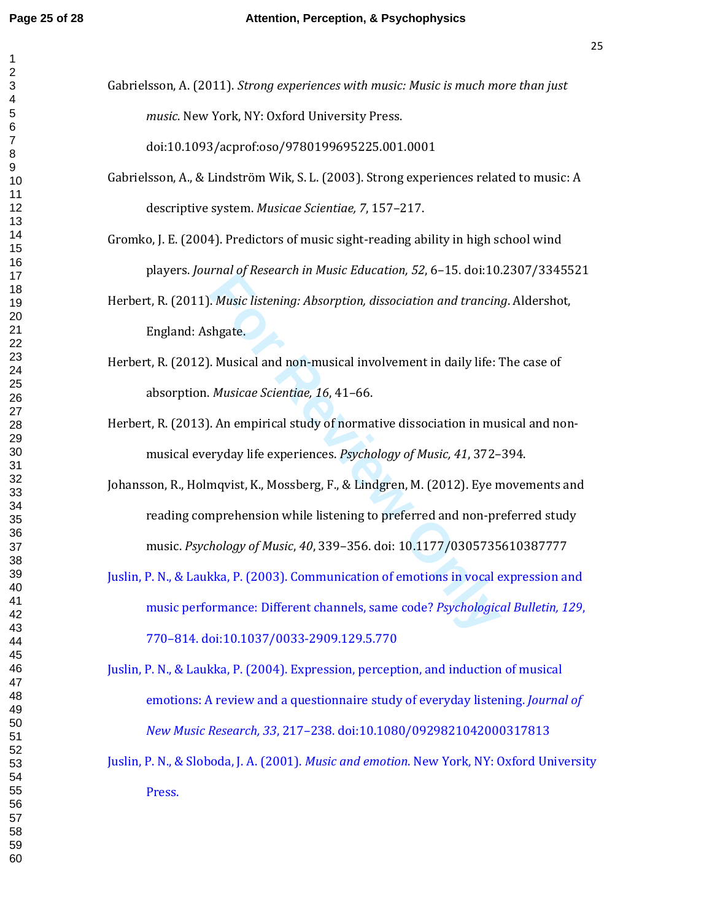Gabrielsson, A. (2011). *Strong experiences with music: Music is much more than just music*. New York, NY: Oxford University Press.

doi:10.1093/acprof:oso/9780199695225.001.0001

- Gabrielsson, A., & Lindström Wik, S. L. (2003). Strong experiences related to music: A descriptive system. *Musicae Scientiae, 7*, 157–217.
- Gromko, J. E. (2004). Predictors of music sight-reading ability in high school wind players. *Journal of Research in Music Education, 52*, 6–15. doi:10.2307/3345521
- Herbert, R. (2011). *Music listening: Absorption, dissociation and trancing*. Aldershot, England: Ashgate.
- Herbert, R. (2012). Musical and non-musical involvement in daily life: The case of absorption. *Musicae Scientiae, 16*, 41–66.
- Herbert, R. (2013). An empirical study of normative dissociation in musical and nonmusical everyday life experiences. *Psychology of Music, 41*, 372–394.
- *For Research III Fraste Badeaton, 52, 5* 15. doi.16.<br> *For Research III Fraste Badeaton, 52, 5* 15. doi.16.<br> *For Review Extention*, *dissociation and trancin*,<br> *For Review Externing 16, 41–66.*<br> *An empirical study of n* Johansson, R., Holmqvist, K., Mossberg, F., & Lindgren, M. (2012). Eye movements and reading comprehension while listening to preferred and non-preferred study music. *Psychology of Music*, *40*, 339–356. doi: 10.1177/0305735610387777
- Juslin, P. N., & Laukka, P. (2003). Communication of emotions in vocal expression and music performance: Different channels, same code? *Psychological Bulletin, 129*, 770–814. doi:10.1037/0033-2909.129.5.770
- Juslin, P. N., & Laukka, P. (2004). Expression, perception, and induction of musical emotions: A review and a questionnaire study of everyday listening. *Journal of New Music Research, 33*, 217–238. doi:10.1080/0929821042000317813
- Juslin, P. N., & Sloboda, J. A. (2001). *Music and emotion*. New York, NY: Oxford University Press.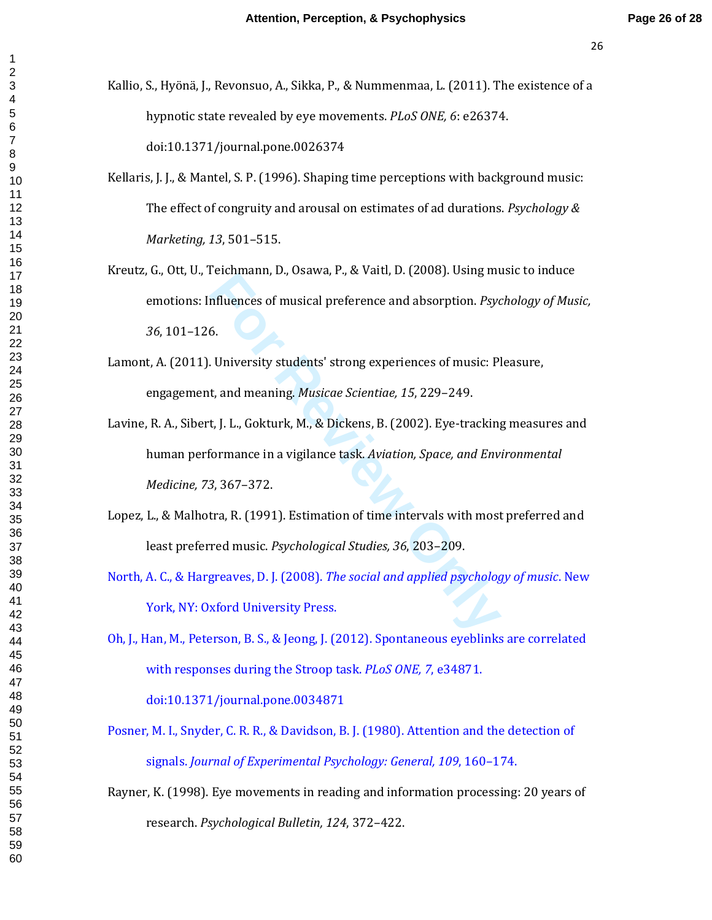- Kallio, S., Hyönä, J., Revonsuo, A., Sikka, P., & Nummenmaa, L. (2011). The existence of a hypnotic state revealed by eye movements. *PLoS ONE, 6*: e26374. doi:10.1371/journal.pone.0026374
- Kellaris, J. J., & Mantel, S. P. (1996). Shaping time perceptions with background music: The effect of congruity and arousal on estimates of ad durations. *Psychology & Marketing, 13*, 501–515.
- Kreutz, G., Ott, U., Teichmann, D., Osawa, P., & Vaitl, D. (2008). Using music to induce emotions: Influences of musical preference and absorption. *Psychology of Music,* , 101–126.
- Lamont, A. (2011). University students' strong experiences of music: Pleasure, engagement, and meaning. *Musicae Scientiae, 15*, 229–249.
- **Example 10.** Change 1, 3.3 value, 2. (2000). Osing any<br>filuences of musical preference and absorption. Psycon.<br>For Psycon Review of Musical Scientiae, 15, 229–249.<br>**t**, J. L., Gokturk, M., & Dickens, B. (2002). Eye-tracki Lavine, R. A., Sibert, J. L., Gokturk, M., & Dickens, B. (2002). Eye-tracking measures and human performance in a vigilance task. *Aviation, Space, and Environmental Medicine, 73*, 367–372.
- Lopez, L., & Malhotra, R. (1991). Estimation of time intervals with most preferred and least preferred music. *Psychological Studies, 36*, 203–209.
- North, A. C., & Hargreaves, D. J. (2008). *The social and applied psychology of music*. New York, NY: Oxford University Press.
- Oh, J., Han, M., Peterson, B. S., & Jeong, J. (2012). Spontaneous eyeblinks are correlated with responses during the Stroop task. *PLoS ONE, 7*, e34871. doi:10.1371/journal.pone.0034871
- Posner, M. I., Snyder, C. R. R., & Davidson, B. J. (1980). Attention and the detection of signals. *Journal of Experimental Psychology: General, 109*, 160–174.
- Rayner, K. (1998). Eye movements in reading and information processing: 20 years of research. *Psychological Bulletin, 124*, 372–422.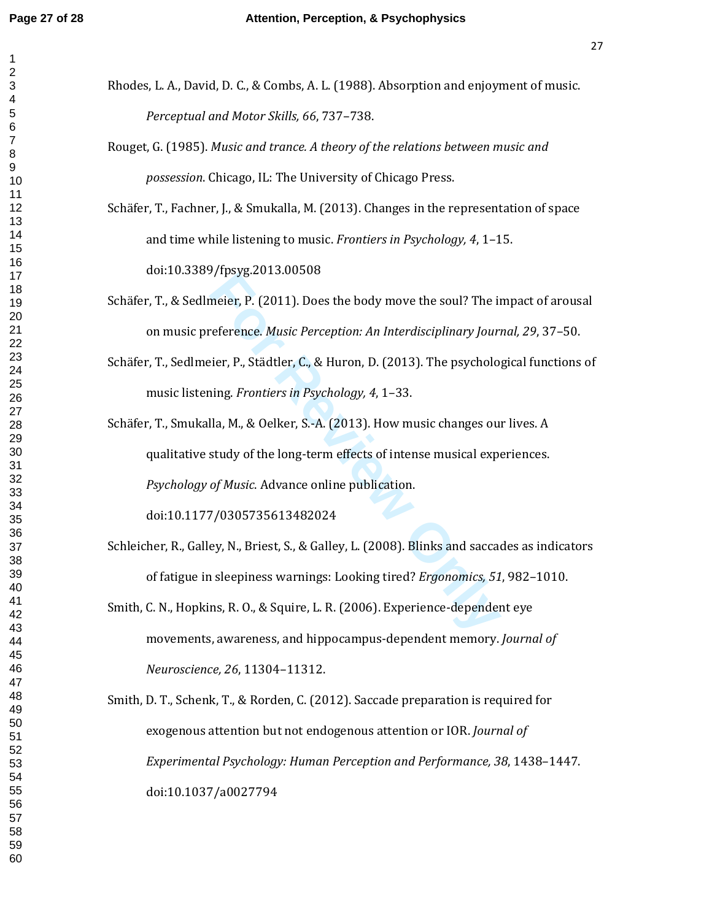- Rhodes, L. A., David, D. C., & Combs, A. L. (1988). Absorption and enjoyment of music. *Perceptual and Motor Skills, 66*, 737–738.
- Rouget, G. (1985). *Music and trance. A theory of the relations between music and possession*. Chicago, IL: The University of Chicago Press.
- Schäfer, T., Fachner, J., & Smukalla, M. (2013). Changes in the representation of space and time while listening to music. *Frontiers in Psychology, 4*, 1–15. doi:10.3389/fpsyg.2013.00508
- Schäfer, T., & Sedlmeier, P. (2011). Does the body move the soul? The impact of arousal on music preference. *Music Perception: An Interdisciplinary Journal, 29*, 37–50.
- Schäfer, T., Sedlmeier, P., Städtler, C., & Huron, D. (2013). The psychological functions of music listening. *Frontiers in Psychology, 4*, 1–33.

Their, P. (2011). Does the body move the soul? The inference. *Music Perception: An Interdisciplinary Jouriner*, P., Städtler, C., & Huron, D. (2013). The psychologing. *Frontiers in Psychology, 4*, 1–33.<br>Ila, M., & Oelker Schäfer, T., Smukalla, M., & Oelker, S.-A. (2013). How music changes our lives. A qualitative study of the long-term effects of intense musical experiences. *Psychology of Music*. Advance online publication.

doi:10.1177/0305735613482024

- Schleicher, R., Galley, N., Briest, S., & Galley, L. (2008). Blinks and saccades as indicators of fatigue in sleepiness warnings: Looking tired? *Ergonomics, 51*, 982–1010.
- Smith, C. N., Hopkins, R. O., & Squire, L. R. (2006). Experience-dependent eye movements, awareness, and hippocampus-dependent memory. *Journal of Neuroscience, 26*, 11304–11312.
- Smith, D. T., Schenk, T., & Rorden, C. (2012). Saccade preparation is required for exogenous attention but not endogenous attention or IOR. *Journal of Experimental Psychology: Human Perception and Performance, 38*, 1438–1447. doi:10.1037/a0027794